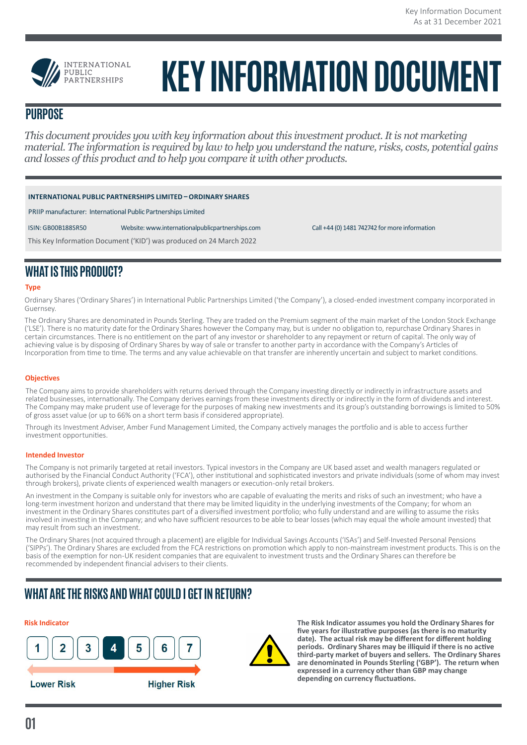

# **KEY INFORMATION DOCUMENT**

# **PURPOSE**

*This document provides you with key information about this investment product. It is not marketing material. The information is required by law to help you understand the nature, risks, costs, potential gains and losses of this product and to help you compare it with other products.*

| INTERNATIONAL PUBLIC PARTNERSHIPS LIMITED - ORDINARY SHARES |  |
|-------------------------------------------------------------|--|
|                                                             |  |

PRIIP manufacturer: International Public Partnerships Limited

ISIN: GB00B188SR50 Website: www.internationalpublicpartnerships.com Call +44 (0) 1481 742742 for more information

This Key Information Document ('KID') was produced on 24 March 2022

# **WHAT IS THIS PRODUCT?**

#### **Type**

Ordinary Shares ('Ordinary Shares') in International Public Partnerships Limited ('the Company'), a closed-ended investment company incorporated in Guernsey.

The Ordinary Shares are denominated in Pounds Sterling. They are traded on the Premium segment of the main market of the London Stock Exchange ('LSE'). There is no maturity date for the Ordinary Shares however the Company may, but is under no obligation to, repurchase Ordinary Shares in certain circumstances. There is no entitlement on the part of any investor or shareholder to any repayment or return of capital. The only way of achieving value is by disposing of Ordinary Shares by way of sale or transfer to another party in accordance with the Company's Articles of Incorporation from time to time. The terms and any value achievable on that transfer are inherently uncertain and subject to market conditions.

#### **Objectives**

The Company aims to provide shareholders with returns derived through the Company investing directly or indirectly in infrastructure assets and related businesses, internationally. The Company derives earnings from these investments directly or indirectly in the form of dividends and interest. The Company may make prudent use of leverage for the purposes of making new investments and its group's outstanding borrowings is limited to 50% of gross asset value (or up to 66% on a short term basis if considered appropriate).

Through its Investment Adviser, Amber Fund Management Limited, the Company actively manages the portfolio and is able to access further investment opportunities.

#### **Intended Investor**

The Company is not primarily targeted at retail investors. Typical investors in the Company are UK based asset and wealth managers regulated or authorised by the Financial Conduct Authority ('FCA'), other institutional and sophisticated investors and private individuals (some of whom may invest through brokers), private clients of experienced wealth managers or execution-only retail brokers.

An investment in the Company is suitable only for investors who are capable of evaluating the merits and risks of such an investment; who have a long-term investment horizon and understand that there may be limited liquidity in the underlying investments of the Company; for whom an investment in the Ordinary Shares constitutes part of a diversified investment portfolio; who fully understand and are willing to assume the risks involved in investing in the Company; and who have sufficient resources to be able to bear losses (which may equal the whole amount invested) that may result from such an investment.

The Ordinary Shares (not acquired through a placement) are eligible for Individual Savings Accounts ('ISAs') and Self-Invested Personal Pensions ('SIPPs'). The Ordinary Shares are excluded from the FCA restrictions on promotion which apply to non-mainstream investment products. This is on the basis of the exemption for non-UK resident companies that are equivalent to investment trusts and the Ordinary Shares can therefore be recommended by independent financial advisers to their clients.

# **WHAT ARE THE RISKS AND WHAT COULD I GET IN RETURN?**





**Risk Indicator The Risk Indicator assumes you hold the Ordinary Shares for five years for illustrative purposes (as there is no maturity date). The actual risk may be different for different holding periods. Ordinary Shares may be illiquid if there is no active third-party market of buyers and sellers. The Ordinary Shares are denominated in Pounds Sterling ('GBP'). The return when expressed in a currency other than GBP may change depending on currency fluctuations.**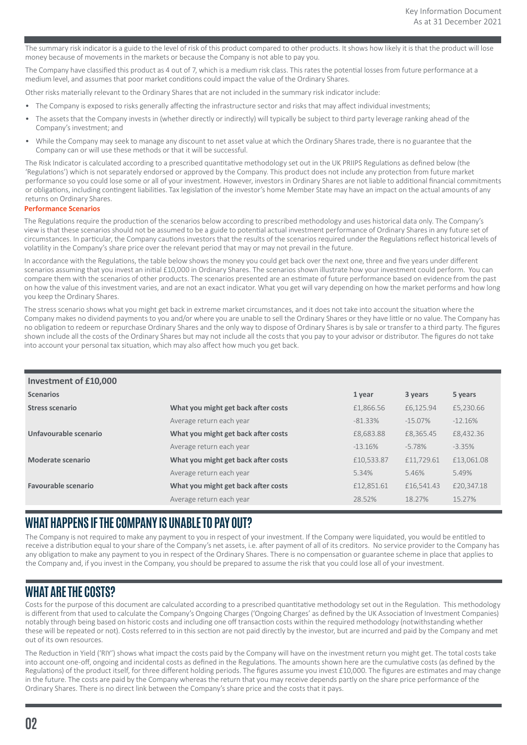The summary risk indicator is a guide to the level of risk of this product compared to other products. It shows how likely it is that the product will lose money because of movements in the markets or because the Company is not able to pay you.

The Company have classified this product as 4 out of 7, which is a medium risk class. This rates the potential losses from future performance at a medium level, and assumes that poor market conditions could impact the value of the Ordinary Shares.

Other risks materially relevant to the Ordinary Shares that are not included in the summary risk indicator include:

- The Company is exposed to risks generally affecting the infrastructure sector and risks that may affect individual investments;
- The assets that the Company invests in (whether directly or indirectly) will typically be subject to third party leverage ranking ahead of the Company's investment; and
- While the Company may seek to manage any discount to net asset value at which the Ordinary Shares trade, there is no guarantee that the Company can or will use these methods or that it will be successful.

The Risk Indicator is calculated according to a prescribed quantitative methodology set out in the UK PRIIPS Regulations as defined below (the 'Regulations') which is not separately endorsed or approved by the Company. This product does not include any protection from future market performance so you could lose some or all of your investment. However, investors in Ordinary Shares are not liable to additional financial commitments or obligations, including contingent liabilities. Tax legislation of the investor's home Member State may have an impact on the actual amounts of any returns on Ordinary Shares.

#### **Performance Scenarios**

The Regulations require the production of the scenarios below according to prescribed methodology and uses historical data only. The Company's view is that these scenarios should not be assumed to be a guide to potential actual investment performance of Ordinary Shares in any future set of circumstances. In particular, the Company cautions investors that the results of the scenarios required under the Regulations reflect historical levels of volatility in the Company's share price over the relevant period that may or may not prevail in the future.

In accordance with the Regulations, the table below shows the money you could get back over the next one, three and five years under different scenarios assuming that you invest an initial £10,000 in Ordinary Shares. The scenarios shown illustrate how your investment could perform. You can compare them with the scenarios of other products. The scenarios presented are an estimate of future performance based on evidence from the past on how the value of this investment varies, and are not an exact indicator. What you get will vary depending on how the market performs and how long you keep the Ordinary Shares.

The stress scenario shows what you might get back in extreme market circumstances, and it does not take into account the situation where the Company makes no dividend payments to you and/or where you are unable to sell the Ordinary Shares or they have little or no value. The Company has no obligation to redeem or repurchase Ordinary Shares and the only way to dispose of Ordinary Shares is by sale or transfer to a third party. The figures shown include all the costs of the Ordinary Shares but may not include all the costs that you pay to your advisor or distributor. The figures do not take into account your personal tax situation, which may also affect how much you get back.

| Investment of £10,000  |                                     |            |            |            |  |  |
|------------------------|-------------------------------------|------------|------------|------------|--|--|
| <b>Scenarios</b>       |                                     | 1 year     | 3 years    | 5 years    |  |  |
| <b>Stress scenario</b> | What you might get back after costs | £1,866.56  | £6,125.94  | £5,230.66  |  |  |
|                        | Average return each year            | $-81.33\%$ | $-15.07\%$ | $-12.16%$  |  |  |
| Unfavourable scenario  | What you might get back after costs | £8,683.88  | £8,365.45  | £8,432.36  |  |  |
|                        | Average return each year            | $-13.16%$  | $-5.78\%$  | $-3.35%$   |  |  |
| Moderate scenario      | What you might get back after costs | £10,533.87 | £11,729.61 | £13,061.08 |  |  |
|                        | Average return each year            | 5.34%      | 5.46%      | 5.49%      |  |  |
| Favourable scenario    | What you might get back after costs | £12,851.61 | £16,541.43 | £20,347.18 |  |  |
|                        | Average return each year            | 28.52%     | 18.27%     | 15.27%     |  |  |

# **WHAT HAPPENS IF THE COMPANY IS UNABLE TO PAY OUT?**

The Company is not required to make any payment to you in respect of your investment. If the Company were liquidated, you would be entitled to receive a distribution equal to your share of the Company's net assets, i.e. after payment of all of its creditors. No service provider to the Company has any obligation to make any payment to you in respect of the Ordinary Shares. There is no compensation or guarantee scheme in place that applies to the Company and, if you invest in the Company, you should be prepared to assume the risk that you could lose all of your investment.

# **WHAT ARE THE COSTS?**

Costs for the purpose of this document are calculated according to a prescribed quantitative methodology set out in the Regulation. This methodology is different from that used to calculate the Company's Ongoing Charges ('Ongoing Charges' as defined by the UK Association of Investment Companies) notably through being based on historic costs and including one off transaction costs within the required methodology (notwithstanding whether these will be repeated or not). Costs referred to in this section are not paid directly by the investor, but are incurred and paid by the Company and met out of its own resources.

The Reduction in Yield ('RIY') shows what impact the costs paid by the Company will have on the investment return you might get. The total costs take into account one-off, ongoing and incidental costs as defined in the Regulations. The amounts shown here are the cumulative costs (as defined by the Regulations) of the product itself, for three different holding periods. The figures assume you invest £10,000. The figures are estimates and may change in the future. The costs are paid by the Company whereas the return that you may receive depends partly on the share price performance of the Ordinary Shares. There is no direct link between the Company's share price and the costs that it pays.